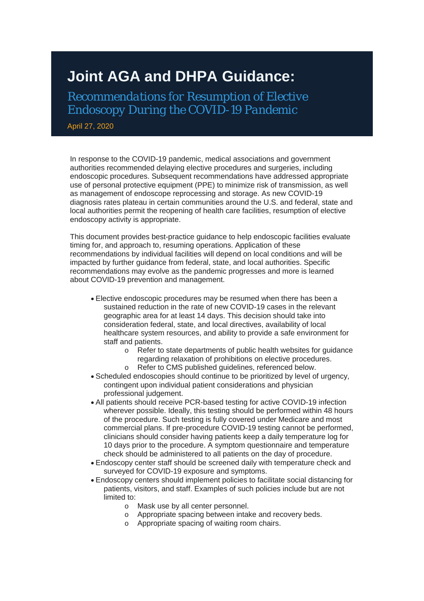## **Joint AGA and DHPA Guidance:**

*Recommendations for Resumption of Elective Endoscopy During the COVID-19 Pandemic*

April 27, 2020

In response to the COVID-19 pandemic, medical associations and government authorities recommended delaying elective procedures and surgeries, including endoscopic procedures. Subsequent recommendations have addressed appropriate use of personal protective equipment (PPE) to minimize risk of transmission, as well as management of endoscope reprocessing and storage. As new COVID-19 diagnosis rates plateau in certain communities around the U.S. and federal, state and local authorities permit the reopening of health care facilities, resumption of elective endoscopy activity is appropriate.

This document provides best-practice guidance to help endoscopic facilities evaluate timing for, and approach to, resuming operations. Application of these recommendations by individual facilities will depend on local conditions and will be impacted by further guidance from federal, state, and local authorities. Specific recommendations may evolve as the pandemic progresses and more is learned about COVID-19 prevention and management.

- Elective endoscopic procedures may be resumed when there has been a sustained reduction in the rate of new COVID-19 cases in the relevant geographic area for at least 14 days. This decision should take into consideration federal, state, and local directives, availability of local healthcare system resources, and ability to provide a safe environment for staff and patients.
	- o Refer to state departments of public health websites for guidance regarding relaxation of prohibitions on elective procedures.
	- o Refer to CMS published guidelines, referenced below.
- Scheduled endoscopies should continue to be prioritized by level of urgency, contingent upon individual patient considerations and physician professional judgement.
- All patients should receive PCR-based testing for active COVID-19 infection wherever possible. Ideally, this testing should be performed within 48 hours of the procedure. Such testing is fully covered under Medicare and most commercial plans. If pre-procedure COVID-19 testing cannot be performed, clinicians should consider having patients keep a daily temperature log for 10 days prior to the procedure. A symptom questionnaire and temperature check should be administered to all patients on the day of procedure.
- Endoscopy center staff should be screened daily with temperature check and surveyed for COVID-19 exposure and symptoms.
- Endoscopy centers should implement policies to facilitate social distancing for patients, visitors, and staff. Examples of such policies include but are not limited to:
	- o Mask use by all center personnel.
	- o Appropriate spacing between intake and recovery beds.
	- o Appropriate spacing of waiting room chairs.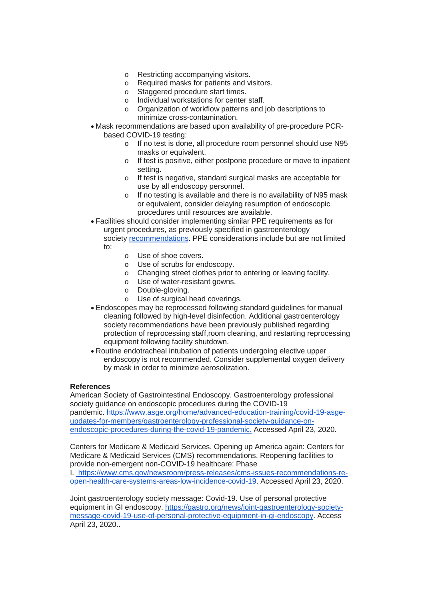- o Restricting accompanying visitors.
- o Required masks for patients and visitors.
- o Staggered procedure start times.
- o Individual workstations for center staff.
- o Organization of workflow patterns and job descriptions to minimize cross-contamination.
- Mask recommendations are based upon availability of pre-procedure PCRbased COVID-19 testing:
	- o If no test is done, all procedure room personnel should use N95 masks or equivalent.
	- o If test is positive, either postpone procedure or move to inpatient setting.
	- o If test is negative, standard surgical masks are acceptable for use by all endoscopy personnel.
	- o If no testing is available and there is no availability of N95 mask or equivalent, consider delaying resumption of endoscopic procedures until resources are available.

• Facilities should consider implementing similar PPE requirements as for urgent procedures, as previously specified in gastroenterology society [recommendations.](http://send.gastro.org/link.cfm?r=OdLuP_N-_4jAfLJ0NSVIDg%7E%7E&pe=meSav5Op08_Te2VAogVp5lqj77_vvgBrD6tsj_EErxHZvxIp87SzIsWtNZH5d6atLwwrSFRo8Qu2Xg_J4Qql6A%7E%7E&t=fR6CD8VqN8AKT2dhlG-yqw%7E%7E) PPE considerations include but are not limited to:

- o Use of shoe covers.
- o Use of scrubs for endoscopy.
- o Changing street clothes prior to entering or leaving facility.
- o Use of water-resistant gowns.
- o Double-gloving.
- o Use of surgical head coverings.
- Endoscopes may be reprocessed following standard guidelines for manual cleaning followed by high-level disinfection. Additional gastroenterology society recommendations have been previously published regarding protection of reprocessing staff,room cleaning, and restarting reprocessing equipment following facility shutdown.
- Routine endotracheal intubation of patients undergoing elective upper endoscopy is not recommended. Consider supplemental oxygen delivery by mask in order to minimize aerosolization.

## **References**

American Society of Gastrointestinal Endoscopy. Gastroenterology professional society guidance on endoscopic procedures during the COVID-19 pandemic. [https://www.asge.org/home/advanced-education-training/covid-19-asge](http://send.gastro.org/link.cfm?r=OdLuP_N-_4jAfLJ0NSVIDg%7E%7E&pe=a21bgkFxMVNQ_ImPD2-6xEnU769gN507TOeJUhvWWziMQ40I_DdU-QpKwQYQfsg-UXgzl8V3uOPZK2AbSa6XMQ%7E%7E&t=fR6CD8VqN8AKT2dhlG-yqw%7E%7E)[updates-for-members/gastroenterology-professional-society-guidance-on](http://send.gastro.org/link.cfm?r=OdLuP_N-_4jAfLJ0NSVIDg%7E%7E&pe=a21bgkFxMVNQ_ImPD2-6xEnU769gN507TOeJUhvWWziMQ40I_DdU-QpKwQYQfsg-UXgzl8V3uOPZK2AbSa6XMQ%7E%7E&t=fR6CD8VqN8AKT2dhlG-yqw%7E%7E)[endoscopic-procedures-during-the-covid-19-pandemic.](http://send.gastro.org/link.cfm?r=OdLuP_N-_4jAfLJ0NSVIDg%7E%7E&pe=a21bgkFxMVNQ_ImPD2-6xEnU769gN507TOeJUhvWWziMQ40I_DdU-QpKwQYQfsg-UXgzl8V3uOPZK2AbSa6XMQ%7E%7E&t=fR6CD8VqN8AKT2dhlG-yqw%7E%7E) Accessed April 23, 2020.

Centers for Medicare & Medicaid Services. Opening up America again: Centers for Medicare & Medicaid Services (CMS) recommendations. Reopening facilities to provide non-emergent non-COVID-19 healthcare: Phase

I. [https://www.cms.gov/newsroom/press-releases/cms-issues-recommendations-re](http://send.gastro.org/link.cfm?r=OdLuP_N-_4jAfLJ0NSVIDg%7E%7E&pe=Qj8k4bhd2cueICXvsT5ttZw7V0e2Uwc4_o_re0K_G51BdBvIHnfGo2VCIPDqcG8UrM7BM3vyF8zg1CfVDfBiig%7E%7E&t=fR6CD8VqN8AKT2dhlG-yqw%7E%7E)[open-health-care-systems-areas-low-incidence-covid-19.](http://send.gastro.org/link.cfm?r=OdLuP_N-_4jAfLJ0NSVIDg%7E%7E&pe=Qj8k4bhd2cueICXvsT5ttZw7V0e2Uwc4_o_re0K_G51BdBvIHnfGo2VCIPDqcG8UrM7BM3vyF8zg1CfVDfBiig%7E%7E&t=fR6CD8VqN8AKT2dhlG-yqw%7E%7E) Accessed April 23, 2020.

Joint gastroenterology society message: Covid-19. Use of personal protective equipment in GI endoscopy. [https://gastro.org/news/joint-gastroenterology-society](http://send.gastro.org/link.cfm?r=OdLuP_N-_4jAfLJ0NSVIDg%7E%7E&pe=H4XVNpOJL0xVEVEhcBr32ks1-WXwSN5GC3Jre4mbzBM8yoiWDn2qHKiVBCVgnJn9ejS412FXdTbcswvd6nLzBQ%7E%7E&t=fR6CD8VqN8AKT2dhlG-yqw%7E%7E)[message-covid-19-use-of-personal-protective-equipment-in-gi-endoscopy.](http://send.gastro.org/link.cfm?r=OdLuP_N-_4jAfLJ0NSVIDg%7E%7E&pe=H4XVNpOJL0xVEVEhcBr32ks1-WXwSN5GC3Jre4mbzBM8yoiWDn2qHKiVBCVgnJn9ejS412FXdTbcswvd6nLzBQ%7E%7E&t=fR6CD8VqN8AKT2dhlG-yqw%7E%7E) Access April 23, 2020..